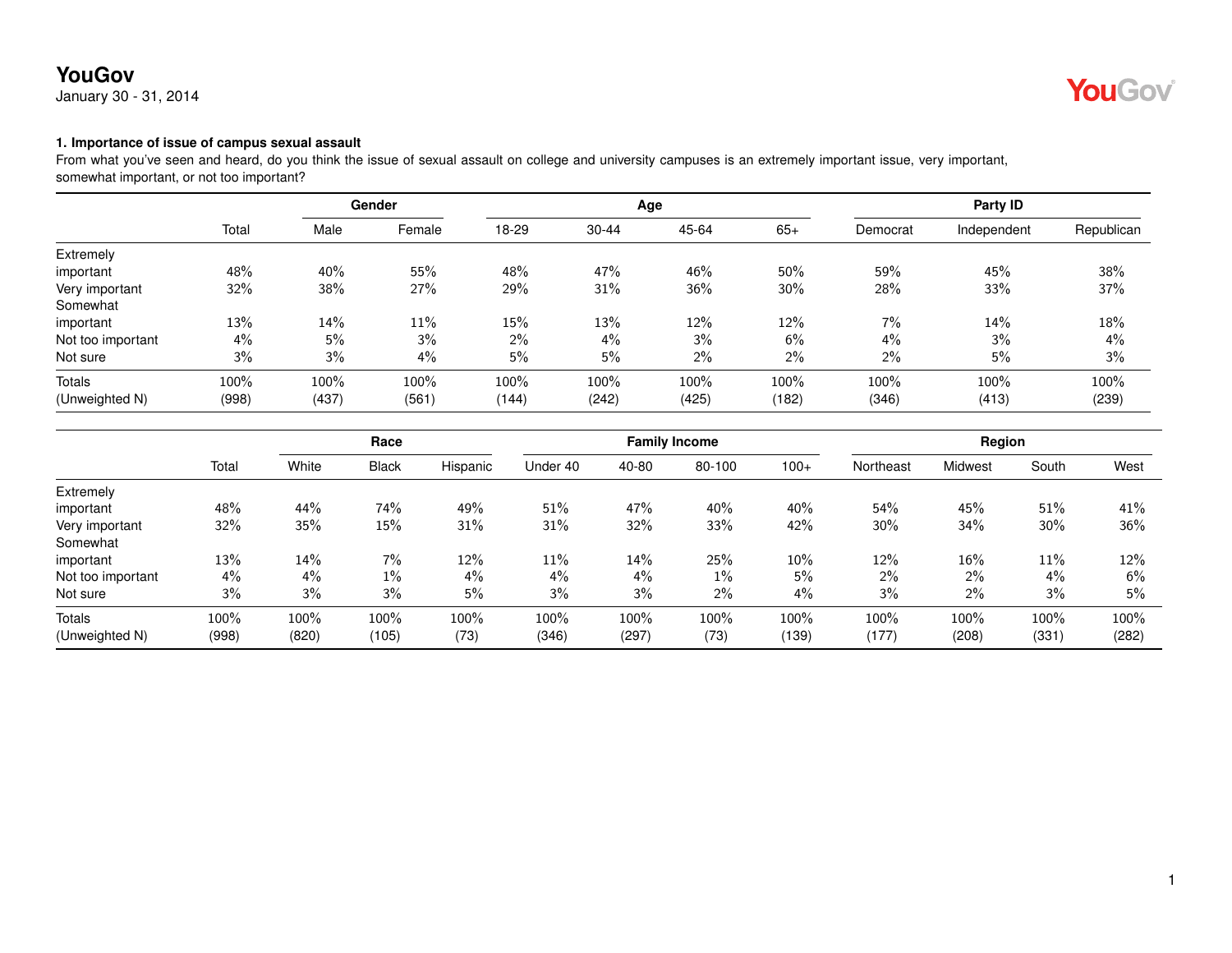January 30 - 31, 2014



#### **1. Importance of issue of campus sexual assault**

From what you've seen and heard, do you think the issue of sexual assault on college and university campuses is an extremely important issue, very important, somewhat important, or not too important?

|                   |       | Gender |        |       |           | Age   |       | Party ID |             |            |  |
|-------------------|-------|--------|--------|-------|-----------|-------|-------|----------|-------------|------------|--|
|                   | Total | Male   | Female | 18-29 | $30 - 44$ | 45-64 | $65+$ | Democrat | Independent | Republican |  |
| Extremely         |       |        |        |       |           |       |       |          |             |            |  |
| important         | 48%   | 40%    | 55%    | 48%   | 47%       | 46%   | 50%   | 59%      | 45%         | 38%        |  |
| Very important    | 32%   | 38%    | 27%    | 29%   | 31%       | 36%   | 30%   | 28%      | 33%         | 37%        |  |
| Somewhat          |       |        |        |       |           |       |       |          |             |            |  |
| important         | 13%   | 14%    | 11%    | 15%   | 13%       | 12%   | 12%   | 7%       | 14%         | 18%        |  |
| Not too important | $4\%$ | 5%     | 3%     | $2\%$ | $4\%$     | 3%    | 6%    | $4\%$    | 3%          | 4%         |  |
| Not sure          | 3%    | 3%     | 4%     | 5%    | 5%        | 2%    | 2%    | 2%       | 5%          | 3%         |  |
| Totals            | 100%  | 100%   | 100%   | 100%  | 100%      | 100%  | 100%  | 100%     | 100%        | 100%       |  |
| (Unweighted N)    | (998) | (437)  | (561)  | (144) | (242)     | (425) | (182) | (346)    | (413)       | (239)      |  |

|                   |       |       | Race         |          |          |       | <b>Family Income</b> |        |           | Region  |       |       |
|-------------------|-------|-------|--------------|----------|----------|-------|----------------------|--------|-----------|---------|-------|-------|
|                   | Total | White | <b>Black</b> | Hispanic | Under 40 | 40-80 | 80-100               | $100+$ | Northeast | Midwest | South | West  |
| Extremely         |       |       |              |          |          |       |                      |        |           |         |       |       |
| important         | 48%   | 44%   | 74%          | 49%      | 51%      | 47%   | 40%                  | 40%    | 54%       | 45%     | 51%   | 41%   |
| Very important    | 32%   | 35%   | 15%          | 31%      | 31%      | 32%   | 33%                  | 42%    | 30%       | 34%     | 30%   | 36%   |
| Somewhat          |       |       |              |          |          |       |                      |        |           |         |       |       |
| important         | 13%   | 14%   | 7%           | 12%      | $11\%$   | 14%   | 25%                  | 10%    | 12%       | 16%     | 11%   | 12%   |
| Not too important | 4%    | $4\%$ | $1\%$        | 4%       | 4%       | 4%    | $1\%$                | 5%     | $2\%$     | 2%      | 4%    | 6%    |
| Not sure          | 3%    | 3%    | 3%           | 5%       | 3%       | 3%    | 2%                   | 4%     | 3%        | 2%      | 3%    | 5%    |
| <b>Totals</b>     | 100%  | 100%  | 100%         | 100%     | 100%     | 100%  | 100%                 | 100%   | 100%      | 100%    | 100%  | 100%  |
| (Unweighted N)    | (998) | (820) | (105)        | (73)     | (346)    | (297) | (73)                 | (139)  | (177)     | (208)   | (331) | (282) |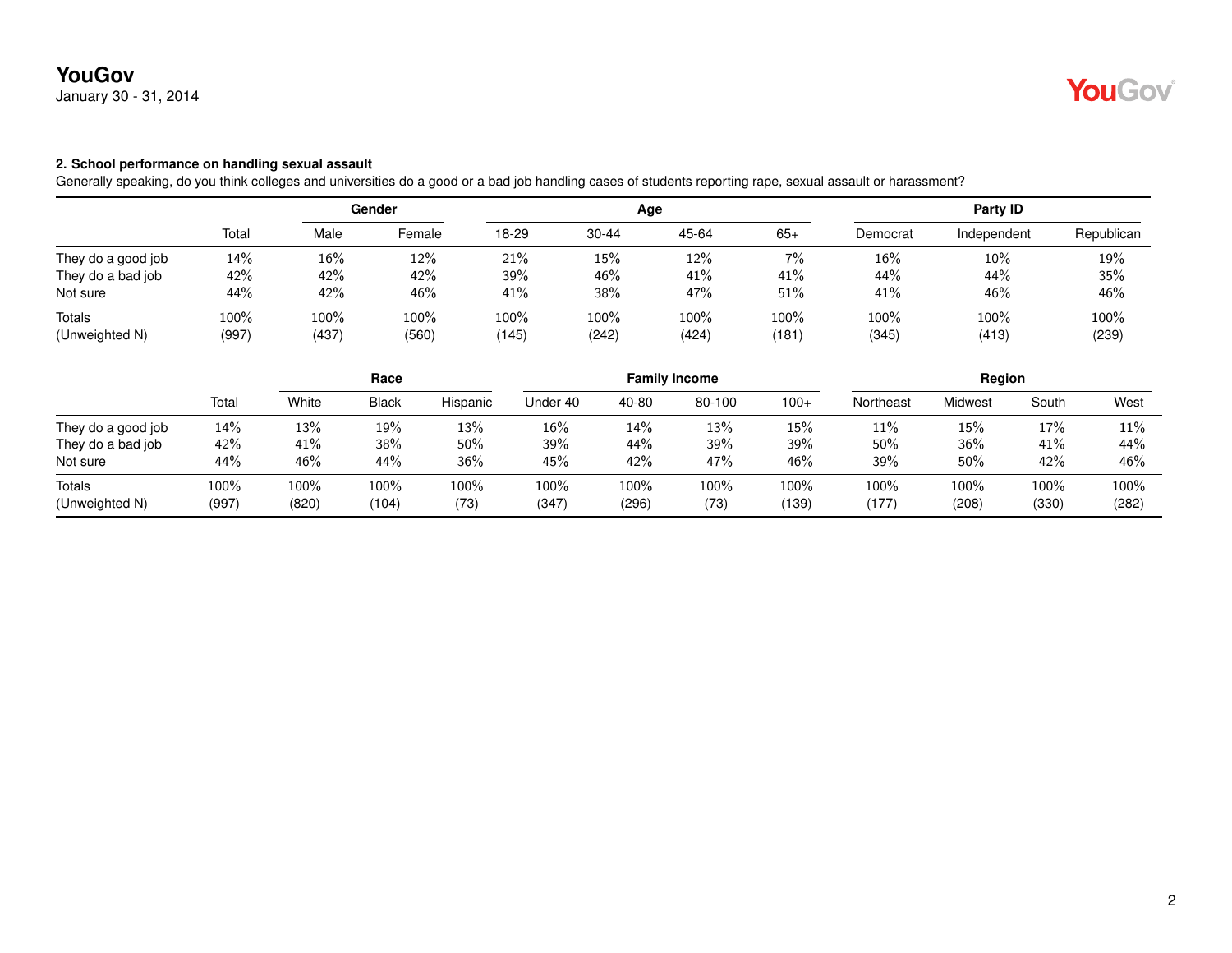January 30 - 31, 2014

#### **2. School performance on handling sexual assault**

Generally speaking, do you think colleges and universities do a good or a bad job handling cases of students reporting rape, sexual assault or harassment?

|                    |       |       | Gender  |       |           | Age   |       | Party ID |             |            |  |
|--------------------|-------|-------|---------|-------|-----------|-------|-------|----------|-------------|------------|--|
|                    | Total | Male  | Female  | 18-29 | $30 - 44$ | 45-64 | $65+$ | Democrat | Independent | Republican |  |
| They do a good job | 14%   | 16%   | 12%     | 21%   | 15%       | 12%   | 7%    | $16\%$   | 10%         | 19%        |  |
| They do a bad job  | 42%   | 42%   | 42%     | 39%   | 46%       | 41%   | 41%   | 44%      | 44%         | 35%        |  |
| Not sure           | 44%   | 42%   | 46%     | 41%   | 38%       | 47%   | 51%   | 41%      | 46%         | 46%        |  |
| <b>Totals</b>      | 100%  | 100%  | $100\%$ | 100%  | 100%      | 100%  | 100%  | 100%     | 100%        | 100%       |  |
| (Unweighted N)     | (997) | (437) | (560)   | (145) | (242)     | (424) | (181) | (345)    | (413)       | (239)      |  |

|                          |               | Race          |               |              |                  |               | <b>Family Income</b> |               | Region        |               |                  |               |
|--------------------------|---------------|---------------|---------------|--------------|------------------|---------------|----------------------|---------------|---------------|---------------|------------------|---------------|
|                          | Total         | White         | <b>Black</b>  | Hispanic     | Under 40         | 40-80         | 80-100               | $100+$        | Northeast     | Midwest       | South            | West          |
| They do a good job       | 14%           | 13%           | 19%           | 13%          | 16%              | 14%           | 13%                  | 15%           | 11%           | 15%           | 17%              | 11%           |
| They do a bad job        | 42%           | 41%           | 38%           | 50%          | 39%              | 44%           | 39%                  | 39%           | 50%           | 36%           | 41%              | 44%           |
| Not sure                 | 44%           | 46%           | 44%           | 36%          | 45%              | 42%           | 47%                  | 46%           | 39%           | 50%           | 42%              | 46%           |
| Totals<br>(Unweighted N) | 100%<br>(997) | 100%<br>(820) | 100%<br>(104) | 100%<br>(73) | $100\%$<br>(347) | 100%<br>(296) | 100%<br>(73)         | 100%<br>(139) | 100%<br>(177) | 100%<br>(208) | $100\%$<br>(330) | 100%<br>(282) |

YouGov®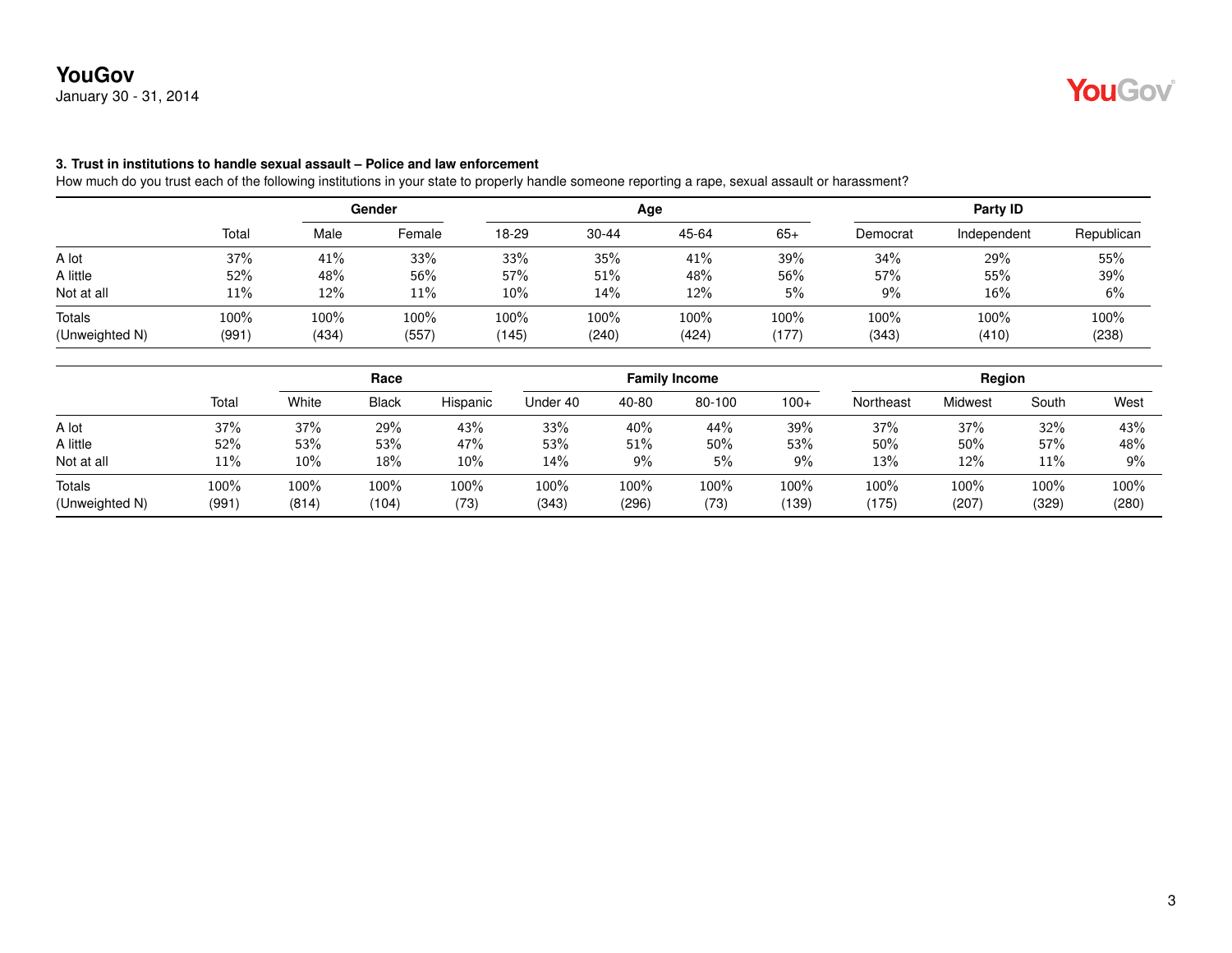January 30 - 31, 2014

#### **3. Trust in institutions to handle sexual assault – Police and law enforcement**

How much do you trust each of the following institutions in your state to properly handle someone reporting a rape, sexual assault or harassment?

|                          |                  | Gender        |               |               |               | Age              | Party ID      |               |               |               |
|--------------------------|------------------|---------------|---------------|---------------|---------------|------------------|---------------|---------------|---------------|---------------|
|                          | Total            | Male          | Female        | 18-29         | $30 - 44$     | 45-64            | $65+$         | Democrat      | Independent   | Republican    |
| A lot                    | 37%              | 41%           | 33%           | 33%           | 35%           | 41%              | 39%           | 34%           | 29%           | 55%           |
| A little                 | 52%              | 48%           | 56%           | 57%           | 51%           | 48%              | 56%           | 57%           | 55%           | 39%           |
| Not at all               | 11%              | 12%           | 11%           | $10\%$        | 14%           | 12%              | 5%            | 9%            | 16%           | 6%            |
| Totals<br>(Unweighted N) | $100\%$<br>(991) | 100%<br>(434) | 100%<br>(557) | 100%<br>(145) | 100%<br>(240) | $100\%$<br>(424) | 100%<br>(177) | 100%<br>(343) | 100%<br>(410) | 100%<br>(238) |

|                                 | Race          |               |               |              |               | <b>Family Income</b> |              | Region        |               |                  |                  |               |
|---------------------------------|---------------|---------------|---------------|--------------|---------------|----------------------|--------------|---------------|---------------|------------------|------------------|---------------|
|                                 | Total         | White         | <b>Black</b>  | Hispanic     | Under 40      | 40-80                | 80-100       | $100+$        | Northeast     | Midwest          | South            | West          |
| A lot                           | 37%           | 37%           | 29%           | 43%          | 33%           | 40%                  | 44%          | 39%           | 37%           | 37%              | 32%              | 43%           |
| A little                        | 52%           | 53%           | 53%           | 47%          | 53%           | 51%                  | 50%          | 53%           | 50%           | 50%              | 57%              | 48%           |
| Not at all                      | 11%           | 10%           | 18%           | 10%          | 14%           | 9%                   | 5%           | 9%            | 13%           | 12%              | 11%              | 9%            |
| <b>Totals</b><br>(Unweighted N) | 100%<br>(991) | 100%<br>(814) | 100%<br>(104) | 100%<br>(73) | 100%<br>(343) | 100%<br>(296)        | 100%<br>(73) | 100%<br>(139) | 100%<br>(175) | $100\%$<br>(207) | $100\%$<br>(329) | 100%<br>(280) |

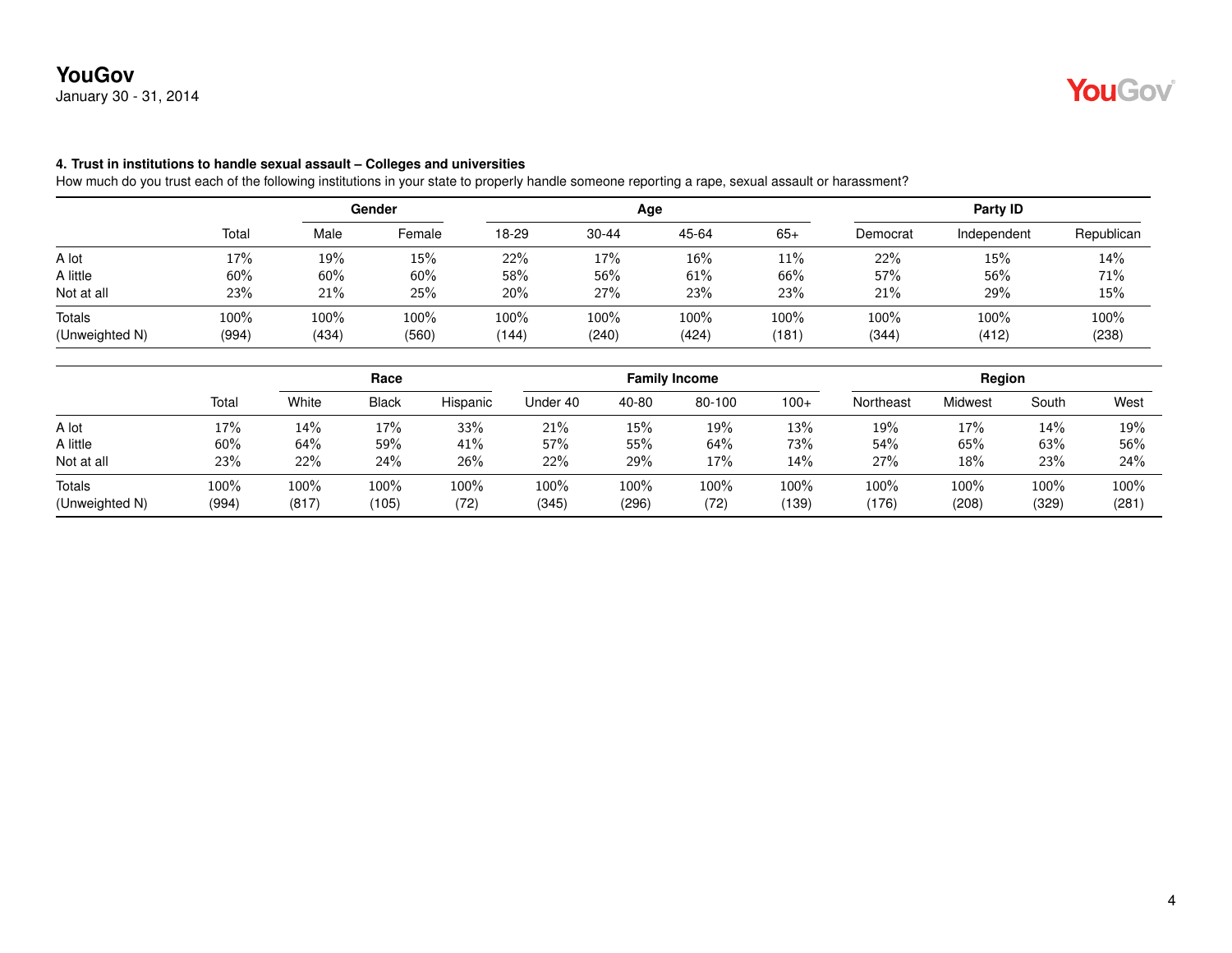January 30 - 31, 2014

#### **4. Trust in institutions to handle sexual assault – Colleges and universities**

How much do you trust each of the following institutions in your state to properly handle someone reporting a rape, sexual assault or harassment?

|                          |                  | Gender           |               |                  |               | Age              | Party ID      |               |               |               |
|--------------------------|------------------|------------------|---------------|------------------|---------------|------------------|---------------|---------------|---------------|---------------|
|                          | Total            | Male             | Female        | 18-29            | $30 - 44$     | 45-64            | $65+$         | Democrat      | Independent   | Republican    |
| A lot                    | 17%              | 19%              | 15%           | 22%              | 17%           | 16%              | 11%           | 22%           | 15%           | 14%           |
| A little                 | 60%              | 60%              | 60%           | 58%              | 56%           | 61%              | 66%           | 57%           | 56%           | 71%           |
| Not at all               | 23%              | 21%              | 25%           | 20%              | 27%           | 23%              | 23%           | 21%           | 29%           | 15%           |
| Totals<br>(Unweighted N) | $100\%$<br>(994) | $100\%$<br>(434) | 100%<br>(560) | $100\%$<br>(144) | 100%<br>(240) | $100\%$<br>(424) | 100%<br>(181) | 100%<br>(344) | 100%<br>(412) | 100%<br>(238) |

|                          |               |               | Race          |              |               | <b>Family Income</b> |              |               |               | Region           |                  |               |  |
|--------------------------|---------------|---------------|---------------|--------------|---------------|----------------------|--------------|---------------|---------------|------------------|------------------|---------------|--|
|                          | Total         | White         | <b>Black</b>  | Hispanic     | Under 40      | 40-80                | 80-100       | $100+$        | Northeast     | Midwest          | South            | West          |  |
| A lot                    | 17%           | 14%           | 17%           | 33%          | 21%           | 15%                  | 19%          | 13%           | 19%           | 17%              | 14%              | 19%           |  |
| A little                 | 60%           | 64%           | 59%           | 41%          | 57%           | 55%                  | 64%          | 73%           | 54%           | 65%              | 63%              | 56%           |  |
| Not at all               | 23%           | 22%           | 24%           | 26%          | 22%           | 29%                  | 17%          | 14%           | 27%           | 18%              | 23%              | 24%           |  |
| Totals<br>(Unweighted N) | 100%<br>(994) | 100%<br>(817) | 100%<br>(105) | 100%<br>(72) | 100%<br>(345) | 100%<br>(296)        | 100%<br>(72) | 100%<br>(139) | 100%<br>(176) | $100\%$<br>(208) | $100\%$<br>(329) | 100%<br>(281) |  |

YouGov®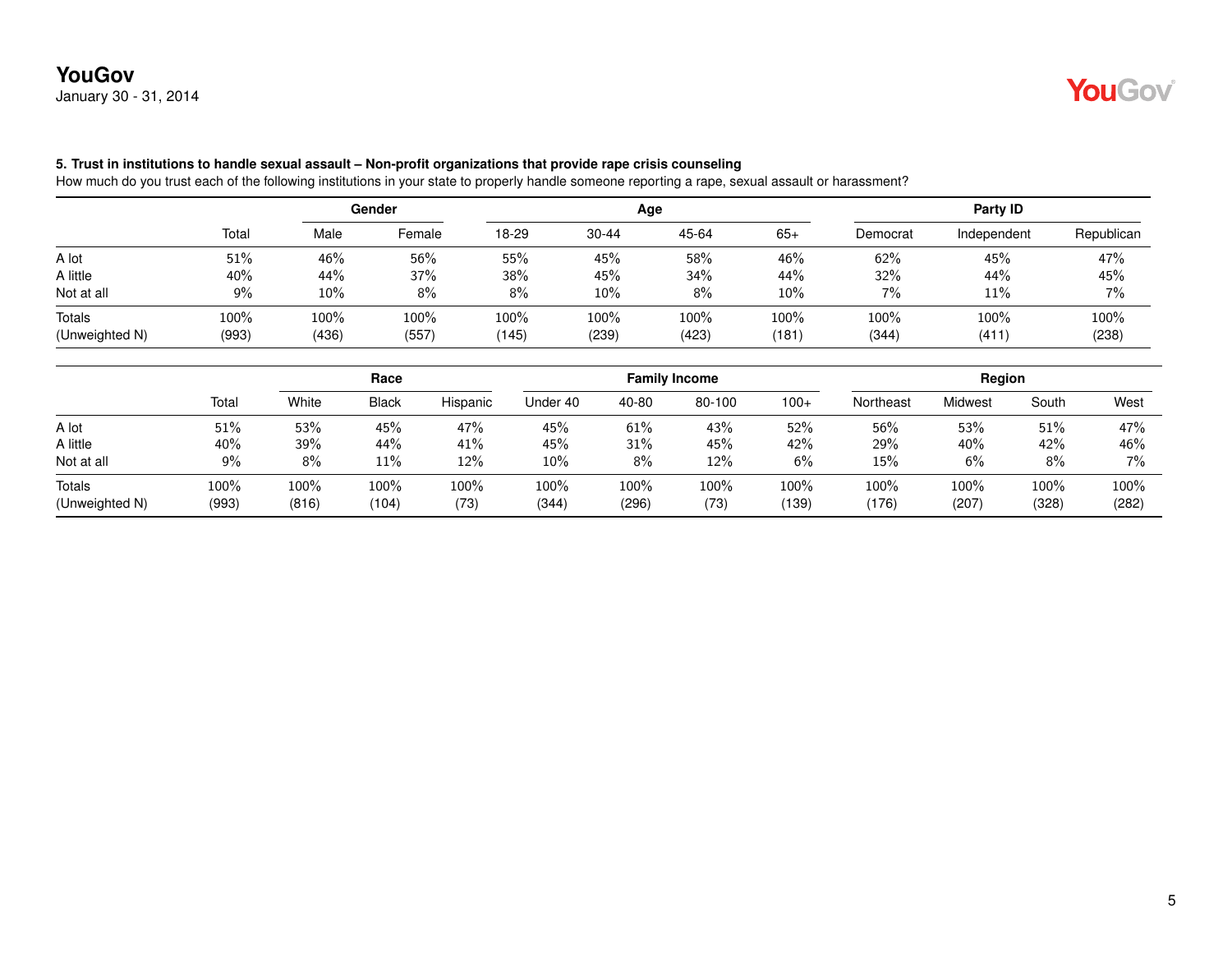January 30 - 31, 2014



### **5. Trust in institutions to handle sexual assault – Non-profit organizations that provide rape crisis counseling**

How much do you trust each of the following institutions in your state to properly handle someone reporting a rape, sexual assault or harassment?

|                |       | Gender |        |       |           | Age     | Party ID |          |             |            |
|----------------|-------|--------|--------|-------|-----------|---------|----------|----------|-------------|------------|
|                | Total | Male   | Female | 18-29 | $30 - 44$ | 45-64   | $65+$    | Democrat | Independent | Republican |
| A lot          | 51%   | 46%    | 56%    | 55%   | 45%       | 58%     | 46%      | 62%      | 45%         | 47%        |
| A little       | 40%   | 44%    | 37%    | 38%   | 45%       | 34%     | 44%      | 32%      | 44%         | 45%        |
| Not at all     | $9\%$ | 10%    | 8%     | 8%    | 10%       | 8%      | 10%      | 7%       | 11%         | 7%         |
| Totals         | 100%  | 100%   | 100%   | 100%  | 100%      | $100\%$ | 100%     | 100%     | 100%        | 100%       |
| (Unweighted N) | (993) | (436)  | (557)  | (145) | (239)     | (423)   | (181)    | (344)    | (411)       | (238)      |

|                          |               | Race          |               |              | <b>Family Income</b> |               |              |               | Region        |               |                  |               |
|--------------------------|---------------|---------------|---------------|--------------|----------------------|---------------|--------------|---------------|---------------|---------------|------------------|---------------|
|                          | Total         | White         | <b>Black</b>  | Hispanic     | Under 40             | 40-80         | 80-100       | $100+$        | Northeast     | Midwest       | South            | West          |
| A lot                    | 51%           | 53%           | 45%           | 47%          | 45%                  | 61%           | 43%          | 52%           | 56%           | 53%           | 51%              | 47%           |
| A little                 | 40%           | 39%           | 44%           | 41%          | 45%                  | 31%           | 45%          | 42%           | 29%           | 40%           | 42%              | 46%           |
| Not at all               | 9%            | 8%            | 11%           | 12%          | $10\%$               | 8%            | 12%          | 6%            | 15%           | 6%            | $8\%$            | $7\%$         |
| Totals<br>(Unweighted N) | 100%<br>(993) | 100%<br>(816) | 100%<br>(104) | 100%<br>(73) | 100%<br>(344)        | 100%<br>(296) | 100%<br>(73) | 100%<br>(139) | 100%<br>(176) | 100%<br>(207) | $100\%$<br>(328) | 100%<br>(282) |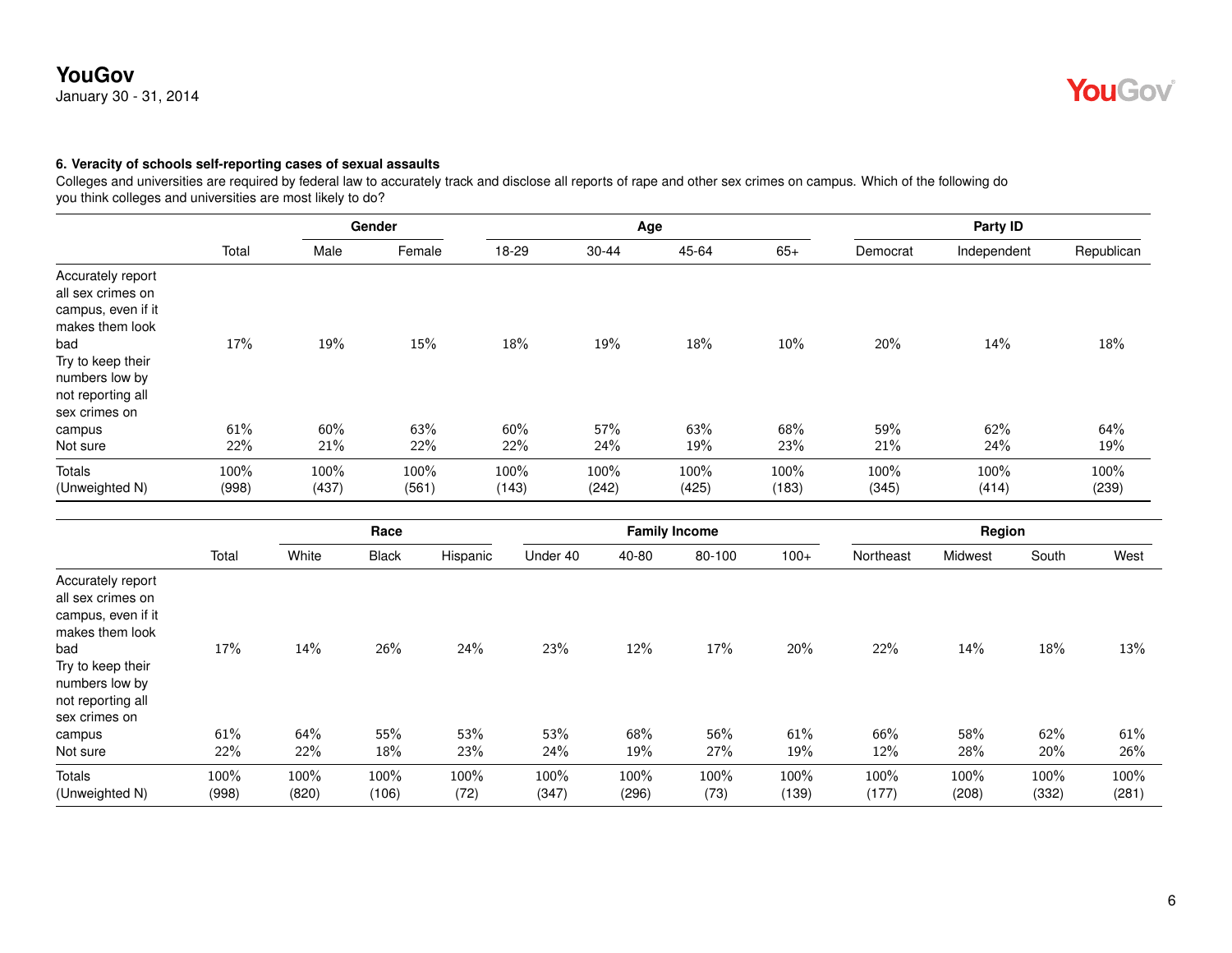January 30 - 31, 2014

# **YouGov**

### **6. Veracity of schools self-reporting cases of sexual assaults**

Colleges and universities are required by federal law to accurately track and disclose all reports of rape and other sex crimes on campus. Which of the following do you think colleges and universities are most likely to do?

|                                                                                                                                                                     | Gender        |               |               |               | Age           |               | Party ID      |               |               |               |
|---------------------------------------------------------------------------------------------------------------------------------------------------------------------|---------------|---------------|---------------|---------------|---------------|---------------|---------------|---------------|---------------|---------------|
|                                                                                                                                                                     | Total         | Male          | Female        | 18-29         | $30 - 44$     | 45-64         | $65+$         | Democrat      | Independent   | Republican    |
| Accurately report<br>all sex crimes on<br>campus, even if it<br>makes them look<br>bad<br>Try to keep their<br>numbers low by<br>not reporting all<br>sex crimes on | 17%           | 19%           | 15%           | 18%           | 19%           | 18%           | 10%           | 20%           | 14%           | 18%           |
| campus<br>Not sure                                                                                                                                                  | 61%<br>22%    | 60%<br>21%    | 63%<br>22%    | 60%<br>22%    | 57%<br>24%    | 63%<br>19%    | 68%<br>23%    | 59%<br>21%    | 62%<br>24%    | 64%<br>19%    |
| <b>Totals</b><br>(Unweighted N)                                                                                                                                     | 100%<br>(998) | 100%<br>(437) | 100%<br>(561) | 100%<br>(143) | 100%<br>(242) | 100%<br>(425) | 100%<br>(183) | 100%<br>(345) | 100%<br>(414) | 100%<br>(239) |

|                                                                                                                                                                     |            |            | Race         |            |            | <b>Family Income</b> |            |            |            | Region     |            |            |
|---------------------------------------------------------------------------------------------------------------------------------------------------------------------|------------|------------|--------------|------------|------------|----------------------|------------|------------|------------|------------|------------|------------|
|                                                                                                                                                                     | Total      | White      | <b>Black</b> | Hispanic   | Under 40   | 40-80                | 80-100     | $100+$     | Northeast  | Midwest    | South      | West       |
| Accurately report<br>all sex crimes on<br>campus, even if it<br>makes them look<br>bad<br>Try to keep their<br>numbers low by<br>not reporting all<br>sex crimes on | 17%        | 14%        | 26%          | 24%        | 23%        | 12%                  | 17%        | 20%        | 22%        | 14%        | 18%        | 13%        |
| campus<br>Not sure                                                                                                                                                  | 61%<br>22% | 64%<br>22% | 55%<br>18%   | 53%<br>23% | 53%<br>24% | 68%<br>19%           | 56%<br>27% | 61%<br>19% | 66%<br>12% | 58%<br>28% | 62%<br>20% | 61%<br>26% |
| Totals                                                                                                                                                              | 100%       | 100%       | 100%         | 100%       | 100%       | 100%                 | 100%       | 100%       | 100%       | 100%       | 100%       | 100%       |
| (Unweighted N)                                                                                                                                                      | (998)      | (820)      | (106)        | (72)       | (347)      | (296)                | (73)       | (139)      | (177)      | (208)      | (332)      | (281)      |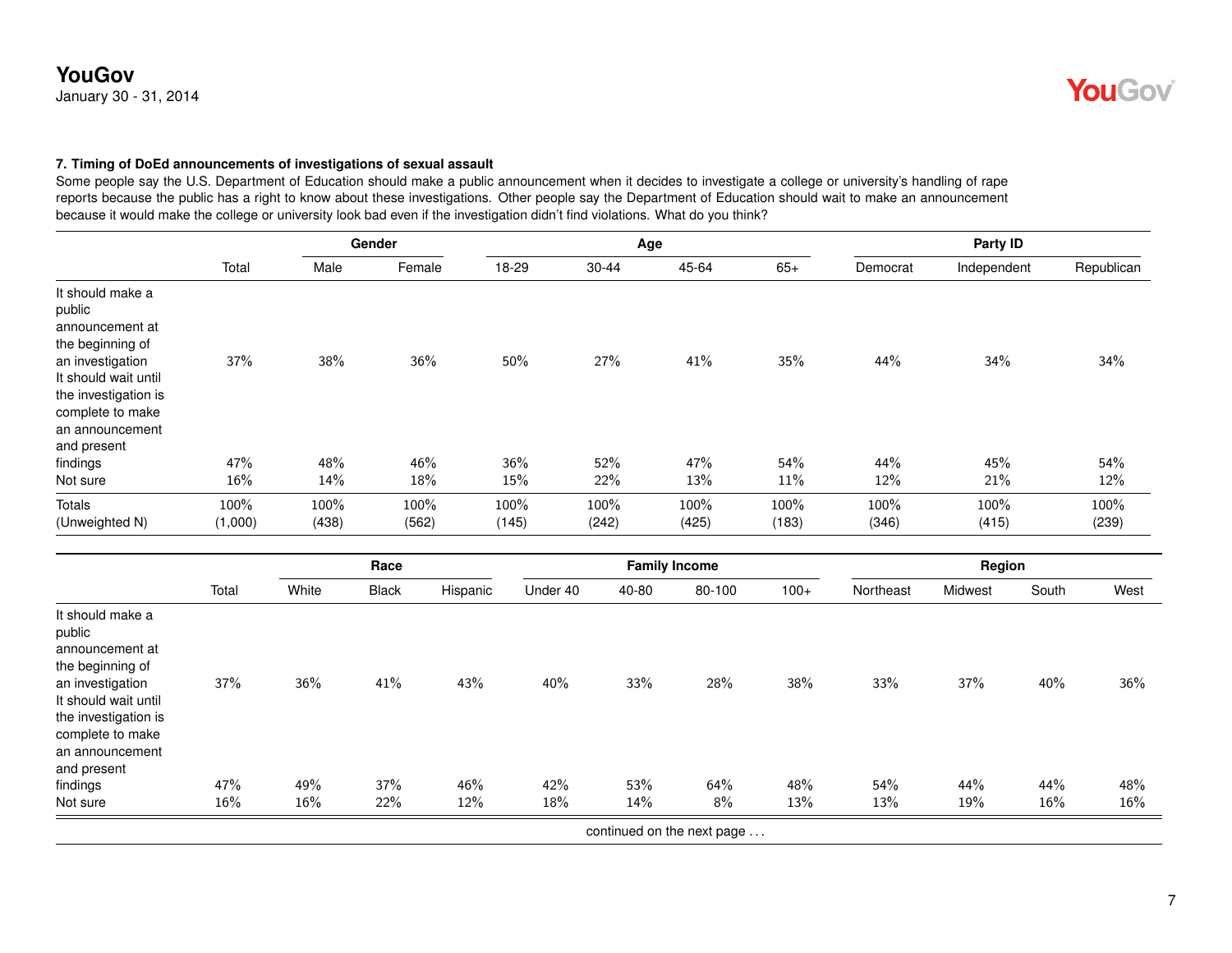January 30 - 31, 2014

#### **7. Timing of DoEd announcements of investigations of sexual assault**

Some people say the U.S. Department of Education should make a public announcement when it decides to investigate a college or university's handling of rape reports because the public has a right to know about these investigations. Other people say the Department of Education should wait to make an announcement because it would make the college or university look bad even if the investigation didn't find violations. What do you think?

|       | Gender            |              |              |              |       | Party ID                     |              |              |               |
|-------|-------------------|--------------|--------------|--------------|-------|------------------------------|--------------|--------------|---------------|
| Total | Male              | Female       | 18-29        | 30-44        | 45-64 | $65+$                        | Democrat     | Independent  | Republican    |
| 37%   | 38%               | 36%          | 50%          | 27%          | 41%   | 35%                          | 44%          | 34%          | 34%           |
| 47%   | 48%               | 46%          | 36%          | 52%          | 47%   | 54%                          | 44%          | 45%          | 54%<br>12%    |
| 100%  | 100%              | 100%         | 100%         | 100%         | 100%  | 100%                         | 100%         | 100%         | 100%<br>(239) |
|       | $16\%$<br>(1,000) | 14%<br>(438) | 18%<br>(562) | 15%<br>(145) | 22%   | Age<br>13%<br>(242)<br>(425) | 11%<br>(183) | 12%<br>(346) | 21%<br>(415)  |

|                                                                                                                                                                                             |       | Race  |              |          | <b>Family Income</b> |       |                            |        | Region    |         |       |      |
|---------------------------------------------------------------------------------------------------------------------------------------------------------------------------------------------|-------|-------|--------------|----------|----------------------|-------|----------------------------|--------|-----------|---------|-------|------|
|                                                                                                                                                                                             | Total | White | <b>Black</b> | Hispanic | Under 40             | 40-80 | 80-100                     | $100+$ | Northeast | Midwest | South | West |
| It should make a<br>public<br>announcement at<br>the beginning of<br>an investigation<br>It should wait until<br>the investigation is<br>complete to make<br>an announcement<br>and present | 37%   | 36%   | 41%          | 43%      | 40%                  | 33%   | 28%                        | 38%    | 33%       | 37%     | 40%   | 36%  |
| findings                                                                                                                                                                                    | 47%   | 49%   | 37%          | 46%      | 42%                  | 53%   | 64%                        | 48%    | 54%       | 44%     | 44%   | 48%  |
| Not sure                                                                                                                                                                                    | 16%   | 16%   | 22%          | 12%      | 18%                  | 14%   | 8%                         | 13%    | 13%       | 19%     | 16%   | 16%  |
|                                                                                                                                                                                             |       |       |              |          |                      |       | continued on the next page |        |           |         |       |      |

**YouGov**